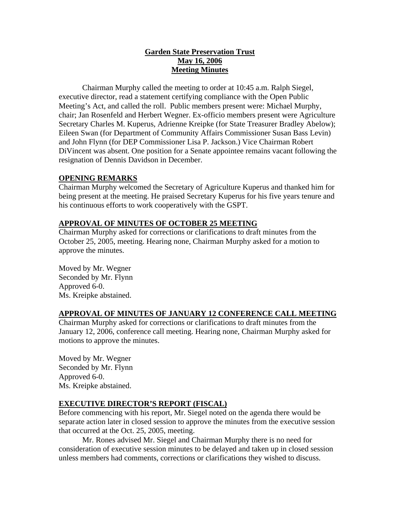# **Garden State Preservation Trust May 16, 2006 Meeting Minutes**

Chairman Murphy called the meeting to order at 10:45 a.m. Ralph Siegel, executive director, read a statement certifying compliance with the Open Public Meeting's Act, and called the roll. Public members present were: Michael Murphy, chair; Jan Rosenfeld and Herbert Wegner. Ex-officio members present were Agriculture Secretary Charles M. Kuperus, Adrienne Kreipke (for State Treasurer Bradley Abelow); Eileen Swan (for Department of Community Affairs Commissioner Susan Bass Levin) and John Flynn (for DEP Commissioner Lisa P. Jackson.) Vice Chairman Robert DiVincent was absent. One position for a Senate appointee remains vacant following the resignation of Dennis Davidson in December.

# **OPENING REMARKS**

Chairman Murphy welcomed the Secretary of Agriculture Kuperus and thanked him for being present at the meeting. He praised Secretary Kuperus for his five years tenure and his continuous efforts to work cooperatively with the GSPT.

# **APPROVAL OF MINUTES OF OCTOBER 25 MEETING**

Chairman Murphy asked for corrections or clarifications to draft minutes from the October 25, 2005, meeting. Hearing none, Chairman Murphy asked for a motion to approve the minutes.

Moved by Mr. Wegner Seconded by Mr. Flynn Approved 6-0. Ms. Kreipke abstained.

# **APPROVAL OF MINUTES OF JANUARY 12 CONFERENCE CALL MEETING**

Chairman Murphy asked for corrections or clarifications to draft minutes from the January 12, 2006, conference call meeting. Hearing none, Chairman Murphy asked for motions to approve the minutes.

Moved by Mr. Wegner Seconded by Mr. Flynn Approved 6-0. Ms. Kreipke abstained.

## **EXECUTIVE DIRECTOR'S REPORT (FISCAL)**

Before commencing with his report, Mr. Siegel noted on the agenda there would be separate action later in closed session to approve the minutes from the executive session that occurred at the Oct. 25, 2005, meeting.

Mr. Rones advised Mr. Siegel and Chairman Murphy there is no need for consideration of executive session minutes to be delayed and taken up in closed session unless members had comments, corrections or clarifications they wished to discuss.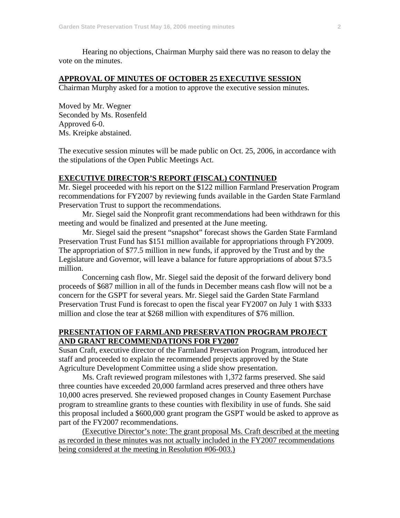Hearing no objections, Chairman Murphy said there was no reason to delay the vote on the minutes.

## **APPROVAL OF MINUTES OF OCTOBER 25 EXECUTIVE SESSION**

Chairman Murphy asked for a motion to approve the executive session minutes.

Moved by Mr. Wegner Seconded by Ms. Rosenfeld Approved 6-0. Ms. Kreipke abstained.

The executive session minutes will be made public on Oct. 25, 2006, in accordance with the stipulations of the Open Public Meetings Act.

### **EXECUTIVE DIRECTOR'S REPORT (FISCAL) CONTINUED**

Mr. Siegel proceeded with his report on the \$122 million Farmland Preservation Program recommendations for FY2007 by reviewing funds available in the Garden State Farmland Preservation Trust to support the recommendations.

 Mr. Siegel said the Nonprofit grant recommendations had been withdrawn for this meeting and would be finalized and presented at the June meeting.

Mr. Siegel said the present "snapshot" forecast shows the Garden State Farmland Preservation Trust Fund has \$151 million available for appropriations through FY2009. The appropriation of \$77.5 million in new funds, if approved by the Trust and by the Legislature and Governor, will leave a balance for future appropriations of about \$73.5 million.

Concerning cash flow, Mr. Siegel said the deposit of the forward delivery bond proceeds of \$687 million in all of the funds in December means cash flow will not be a concern for the GSPT for several years. Mr. Siegel said the Garden State Farmland Preservation Trust Fund is forecast to open the fiscal year FY2007 on July 1 with \$333 million and close the tear at \$268 million with expenditures of \$76 million.

## **PRESENTATION OF FARMLAND PRESERVATION PROGRAM PROJECT AND GRANT RECOMMENDATIONS FOR FY2007**

Susan Craft, executive director of the Farmland Preservation Program, introduced her staff and proceeded to explain the recommended projects approved by the State Agriculture Development Committee using a slide show presentation.

Ms. Craft reviewed program milestones with 1,372 farms preserved. She said three counties have exceeded 20,000 farmland acres preserved and three others have 10,000 acres preserved. She reviewed proposed changes in County Easement Purchase program to streamline grants to these counties with flexibility in use of funds. She said this proposal included a \$600,000 grant program the GSPT would be asked to approve as part of the FY2007 recommendations.

(Executive Director's note: The grant proposal Ms. Craft described at the meeting as recorded in these minutes was not actually included in the FY2007 recommendations being considered at the meeting in Resolution #06-003.)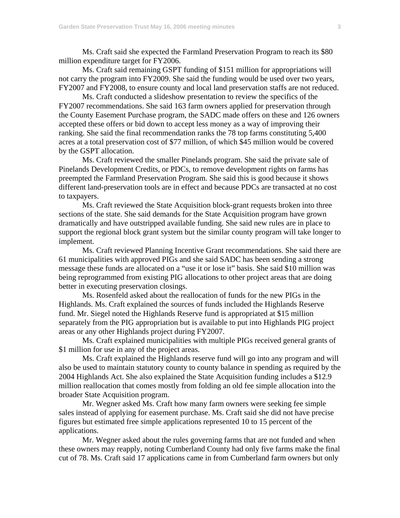Ms. Craft said she expected the Farmland Preservation Program to reach its \$80 million expenditure target for FY2006.

 Ms. Craft said remaining GSPT funding of \$151 million for appropriations will not carry the program into FY2009. She said the funding would be used over two years, FY2007 and FY2008, to ensure county and local land preservation staffs are not reduced.

 Ms. Craft conducted a slideshow presentation to review the specifics of the FY2007 recommendations. She said 163 farm owners applied for preservation through the County Easement Purchase program, the SADC made offers on these and 126 owners accepted these offers or bid down to accept less money as a way of improving their ranking. She said the final recommendation ranks the 78 top farms constituting 5,400 acres at a total preservation cost of \$77 million, of which \$45 million would be covered by the GSPT allocation.

 Ms. Craft reviewed the smaller Pinelands program. She said the private sale of Pinelands Development Credits, or PDCs, to remove development rights on farms has preempted the Farmland Preservation Program. She said this is good because it shows different land-preservation tools are in effect and because PDCs are transacted at no cost to taxpayers.

 Ms. Craft reviewed the State Acquisition block-grant requests broken into three sections of the state. She said demands for the State Acquisition program have grown dramatically and have outstripped available funding. She said new rules are in place to support the regional block grant system but the similar county program will take longer to implement.

 Ms. Craft reviewed Planning Incentive Grant recommendations. She said there are 61 municipalities with approved PIGs and she said SADC has been sending a strong message these funds are allocated on a "use it or lose it" basis. She said \$10 million was being reprogrammed from existing PIG allocations to other project areas that are doing better in executing preservation closings.

Ms. Rosenfeld asked about the reallocation of funds for the new PIGs in the Highlands. Ms. Craft explained the sources of funds included the Highlands Reserve fund. Mr. Siegel noted the Highlands Reserve fund is appropriated at \$15 million separately from the PIG appropriation but is available to put into Highlands PIG project areas or any other Highlands project during FY2007.

Ms. Craft explained municipalities with multiple PIGs received general grants of \$1 million for use in any of the project areas.

Ms. Craft explained the Highlands reserve fund will go into any program and will also be used to maintain statutory county to county balance in spending as required by the 2004 Highlands Act. She also explained the State Acquisition funding includes a \$12.9 million reallocation that comes mostly from folding an old fee simple allocation into the broader State Acquisition program.

Mr. Wegner asked Ms. Craft how many farm owners were seeking fee simple sales instead of applying for easement purchase. Ms. Craft said she did not have precise figures but estimated free simple applications represented 10 to 15 percent of the applications.

Mr. Wegner asked about the rules governing farms that are not funded and when these owners may reapply, noting Cumberland County had only five farms make the final cut of 78. Ms. Craft said 17 applications came in from Cumberland farm owners but only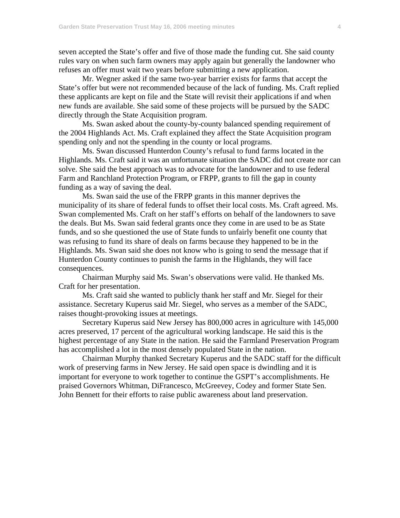seven accepted the State's offer and five of those made the funding cut. She said county rules vary on when such farm owners may apply again but generally the landowner who refuses an offer must wait two years before submitting a new application.

Mr. Wegner asked if the same two-year barrier exists for farms that accept the State's offer but were not recommended because of the lack of funding. Ms. Craft replied these applicants are kept on file and the State will revisit their applications if and when new funds are available. She said some of these projects will be pursued by the SADC directly through the State Acquisition program.

Ms. Swan asked about the county-by-county balanced spending requirement of the 2004 Highlands Act. Ms. Craft explained they affect the State Acquisition program spending only and not the spending in the county or local programs.

Ms. Swan discussed Hunterdon County's refusal to fund farms located in the Highlands. Ms. Craft said it was an unfortunate situation the SADC did not create nor can solve. She said the best approach was to advocate for the landowner and to use federal Farm and Ranchland Protection Program, or FRPP, grants to fill the gap in county funding as a way of saving the deal.

Ms. Swan said the use of the FRPP grants in this manner deprives the municipality of its share of federal funds to offset their local costs. Ms. Craft agreed. Ms. Swan complemented Ms. Craft on her staff's efforts on behalf of the landowners to save the deals. But Ms. Swan said federal grants once they come in are used to be as State funds, and so she questioned the use of State funds to unfairly benefit one county that was refusing to fund its share of deals on farms because they happened to be in the Highlands. Ms. Swan said she does not know who is going to send the message that if Hunterdon County continues to punish the farms in the Highlands, they will face consequences.

Chairman Murphy said Ms. Swan's observations were valid. He thanked Ms. Craft for her presentation.

 Ms. Craft said she wanted to publicly thank her staff and Mr. Siegel for their assistance. Secretary Kuperus said Mr. Siegel, who serves as a member of the SADC, raises thought-provoking issues at meetings.

Secretary Kuperus said New Jersey has 800,000 acres in agriculture with 145,000 acres preserved, 17 percent of the agricultural working landscape. He said this is the highest percentage of any State in the nation. He said the Farmland Preservation Program has accomplished a lot in the most densely populated State in the nation.

 Chairman Murphy thanked Secretary Kuperus and the SADC staff for the difficult work of preserving farms in New Jersey. He said open space is dwindling and it is important for everyone to work together to continue the GSPT's accomplishments. He praised Governors Whitman, DiFrancesco, McGreevey, Codey and former State Sen. John Bennett for their efforts to raise public awareness about land preservation.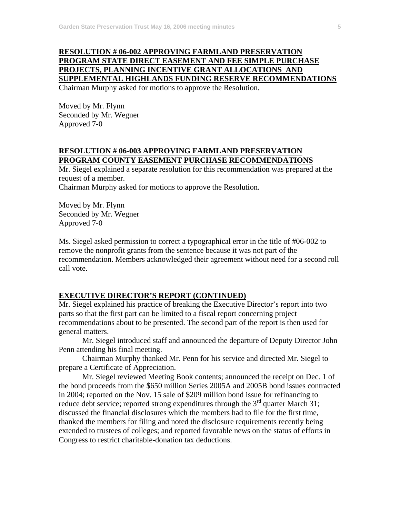## **RESOLUTION # 06-002 APPROVING FARMLAND PRESERVATION PROGRAM STATE DIRECT EASEMENT AND FEE SIMPLE PURCHASE PROJECTS, PLANNING INCENTIVE GRANT ALLOCATIONS AND SUPPLEMENTAL HIGHLANDS FUNDING RESERVE RECOMMENDATIONS**  Chairman Murphy asked for motions to approve the Resolution.

Moved by Mr. Flynn Seconded by Mr. Wegner Approved 7-0

## **RESOLUTION # 06-003 APPROVING FARMLAND PRESERVATION PROGRAM COUNTY EASEMENT PURCHASE RECOMMENDATIONS**

Mr. Siegel explained a separate resolution for this recommendation was prepared at the request of a member.

Chairman Murphy asked for motions to approve the Resolution.

Moved by Mr. Flynn Seconded by Mr. Wegner Approved 7-0

Ms. Siegel asked permission to correct a typographical error in the title of #06-002 to remove the nonprofit grants from the sentence because it was not part of the recommendation. Members acknowledged their agreement without need for a second roll call vote.

## **EXECUTIVE DIRECTOR'S REPORT (CONTINUED)**

Mr. Siegel explained his practice of breaking the Executive Director's report into two parts so that the first part can be limited to a fiscal report concerning project recommendations about to be presented. The second part of the report is then used for general matters.

 Mr. Siegel introduced staff and announced the departure of Deputy Director John Penn attending his final meeting.

 Chairman Murphy thanked Mr. Penn for his service and directed Mr. Siegel to prepare a Certificate of Appreciation.

 Mr. Siegel reviewed Meeting Book contents; announced the receipt on Dec. 1 of the bond proceeds from the \$650 million Series 2005A and 2005B bond issues contracted in 2004; reported on the Nov. 15 sale of \$209 million bond issue for refinancing to reduce debt service; reported strong expenditures through the  $3<sup>rd</sup>$  quarter March 31; discussed the financial disclosures which the members had to file for the first time, thanked the members for filing and noted the disclosure requirements recently being extended to trustees of colleges; and reported favorable news on the status of efforts in Congress to restrict charitable-donation tax deductions.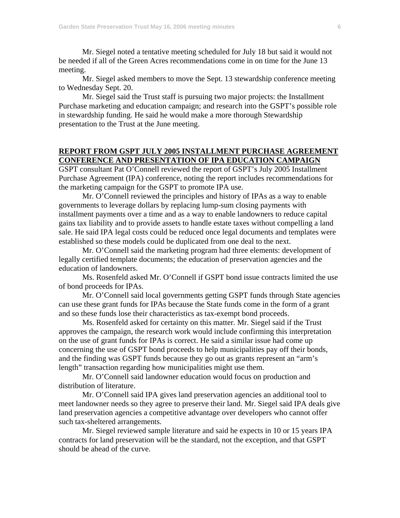Mr. Siegel noted a tentative meeting scheduled for July 18 but said it would not be needed if all of the Green Acres recommendations come in on time for the June 13 meeting.

Mr. Siegel asked members to move the Sept. 13 stewardship conference meeting to Wednesday Sept. 20.

Mr. Siegel said the Trust staff is pursuing two major projects: the Installment Purchase marketing and education campaign; and research into the GSPT's possible role in stewardship funding. He said he would make a more thorough Stewardship presentation to the Trust at the June meeting.

## **REPORT FROM GSPT JULY 2005 INSTALLMENT PURCHASE AGREEMENT CONFERENCE AND PRESENTATION OF IPA EDUCATION CAMPAIGN**

GSPT consultant Pat O'Connell reviewed the report of GSPT's July 2005 Installment Purchase Agreement (IPA) conference, noting the report includes recommendations for the marketing campaign for the GSPT to promote IPA use.

 Mr. O'Connell reviewed the principles and history of IPAs as a way to enable governments to leverage dollars by replacing lump-sum closing payments with installment payments over a time and as a way to enable landowners to reduce capital gains tax liability and to provide assets to handle estate taxes without compelling a land sale. He said IPA legal costs could be reduced once legal documents and templates were established so these models could be duplicated from one deal to the next.

 Mr. O'Connell said the marketing program had three elements: development of legally certified template documents; the education of preservation agencies and the education of landowners.

 Ms. Rosenfeld asked Mr. O'Connell if GSPT bond issue contracts limited the use of bond proceeds for IPAs.

 Mr. O'Connell said local governments getting GSPT funds through State agencies can use these grant funds for IPAs because the State funds come in the form of a grant and so these funds lose their characteristics as tax-exempt bond proceeds.

 Ms. Rosenfeld asked for certainty on this matter. Mr. Siegel said if the Trust approves the campaign, the research work would include confirming this interpretation on the use of grant funds for IPAs is correct. He said a similar issue had come up concerning the use of GSPT bond proceeds to help municipalities pay off their bonds, and the finding was GSPT funds because they go out as grants represent an "arm's length" transaction regarding how municipalities might use them.

 Mr. O'Connell said landowner education would focus on production and distribution of literature.

 Mr. O'Connell said IPA gives land preservation agencies an additional tool to meet landowner needs so they agree to preserve their land. Mr. Siegel said IPA deals give land preservation agencies a competitive advantage over developers who cannot offer such tax-sheltered arrangements.

 Mr. Siegel reviewed sample literature and said he expects in 10 or 15 years IPA contracts for land preservation will be the standard, not the exception, and that GSPT should be ahead of the curve.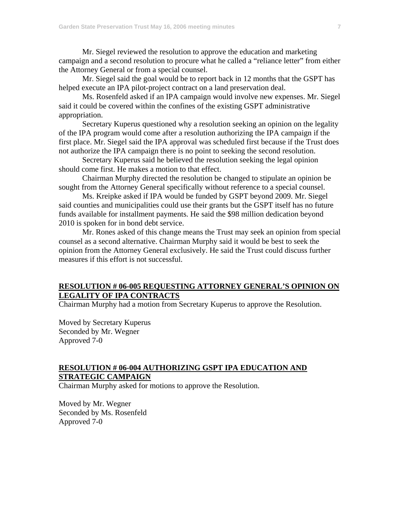Mr. Siegel reviewed the resolution to approve the education and marketing campaign and a second resolution to procure what he called a "reliance letter" from either the Attorney General or from a special counsel.

 Mr. Siegel said the goal would be to report back in 12 months that the GSPT has helped execute an IPA pilot-project contract on a land preservation deal.

 Ms. Rosenfeld asked if an IPA campaign would involve new expenses. Mr. Siegel said it could be covered within the confines of the existing GSPT administrative appropriation.

 Secretary Kuperus questioned why a resolution seeking an opinion on the legality of the IPA program would come after a resolution authorizing the IPA campaign if the first place. Mr. Siegel said the IPA approval was scheduled first because if the Trust does not authorize the IPA campaign there is no point to seeking the second resolution.

 Secretary Kuperus said he believed the resolution seeking the legal opinion should come first. He makes a motion to that effect.

 Chairman Murphy directed the resolution be changed to stipulate an opinion be sought from the Attorney General specifically without reference to a special counsel.

 Ms. Kreipke asked if IPA would be funded by GSPT beyond 2009. Mr. Siegel said counties and municipalities could use their grants but the GSPT itself has no future funds available for installment payments. He said the \$98 million dedication beyond 2010 is spoken for in bond debt service.

Mr. Rones asked of this change means the Trust may seek an opinion from special counsel as a second alternative. Chairman Murphy said it would be best to seek the opinion from the Attorney General exclusively. He said the Trust could discuss further measures if this effort is not successful.

## **RESOLUTION # 06-005 REQUESTING ATTORNEY GENERAL'S OPINION ON LEGALITY OF IPA CONTRACTS**

Chairman Murphy had a motion from Secretary Kuperus to approve the Resolution.

Moved by Secretary Kuperus Seconded by Mr. Wegner Approved 7-0

## **RESOLUTION # 06-004 AUTHORIZING GSPT IPA EDUCATION AND STRATEGIC CAMPAIGN**

Chairman Murphy asked for motions to approve the Resolution.

Moved by Mr. Wegner Seconded by Ms. Rosenfeld Approved 7-0